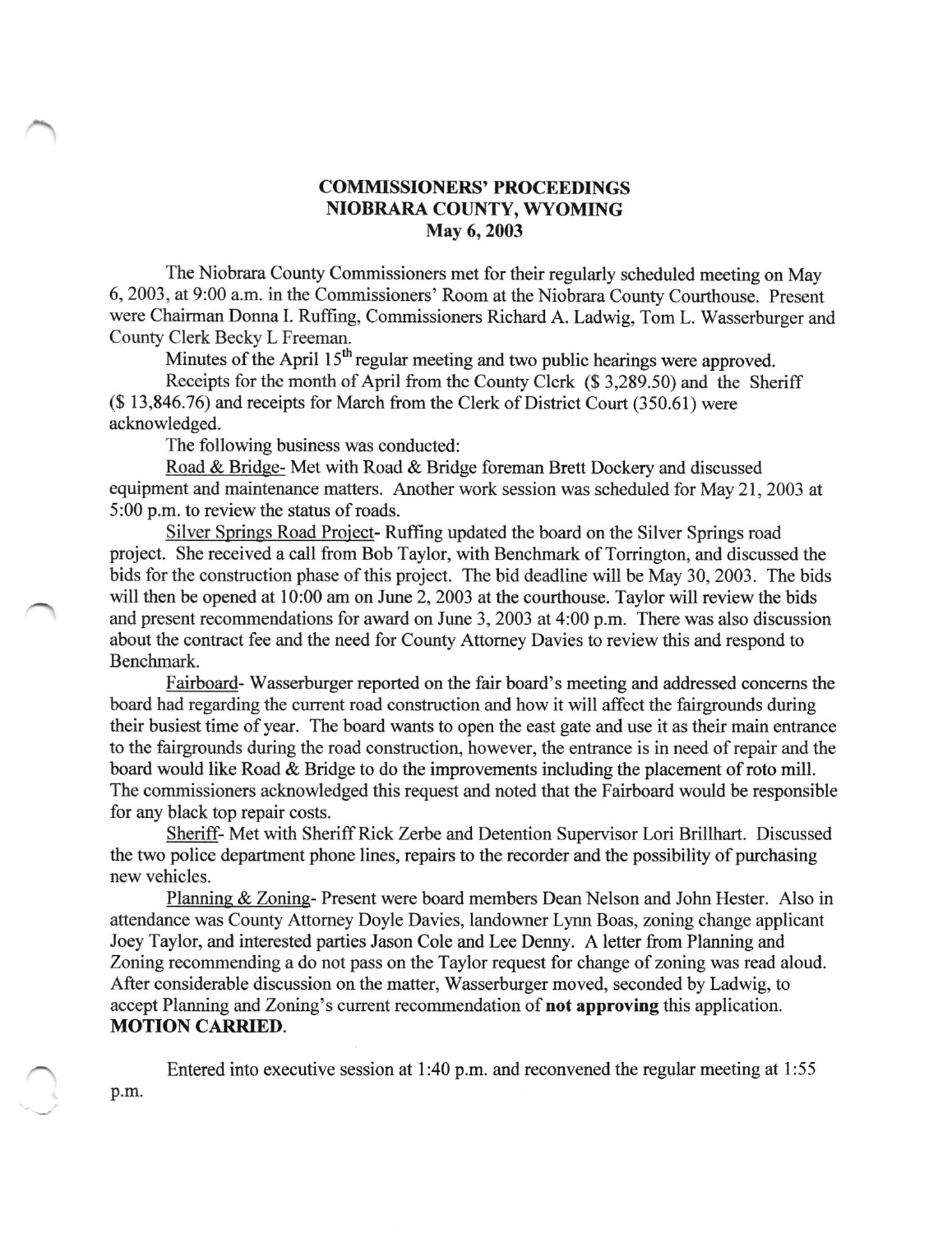## COMMISSIONERS' PROCEEDINGS NIOBRARA COUNTY, WYOMING May 6, 2003

The Niobrara County Commissioners met for their regularly scheduled meeting on May 6, 2003, at 9:00 a.m. in the Commissioners' Room at the Niobrara County Courthouse. Present were Chairman Donna L Ruffing, Commissioners Richard A. Ladwig, Tom L. Wasserburger and County Clerk Becky L Freeman.

Minutes of the April 15<sup>th</sup> regular meeting and two public hearings were approved.

Reccipts for the month of April from the County Clerk (\$ 3,289.50) and the Sheriff (\$ 13,846.76) and receipts for March from the Clerk of District Court (350.61) were acknowledged.

The following business was conducted:

Road & Bridqe- Met with Road & Bridge foreman Brett Dockery and discussed equipment and maintenance matters. Another work session was scheduled for May 21, 2003 at 5:00 p.m. to review the status of roads.

Silver Springs Road Project- Ruffrng updated the board on the Silver Springs road project. She received a call from Bob Taylor, with Benchmark of Torrington, and discussed the bids for the construction phase of this project. The bid deadline will be May 30, 2003. The bids will then be opened at 10:00 am on June 2, 2003 at the courthouse. Taylor will review the bids and present recommendations for award on June 3,2003 at 4:00 p.m. There was also discussion about the contract fee and the need for County Attomey Davies to review this and respond to Benchmark.

Fairboard- Wasserburger reported on the fair board's meeting and addressed concems the board had regarding the current road construction and how it will affect the fairgrounds during their busiest time of year. The board wants to open the east gate and use it as their main entrance to the fairgrounds during the road construction, however, the entrance is in need of repair and the board would like Road & Bridge to do the improvements including the placement of roto mill. The commissioners acknowledged this request and noted that the Fairboard would be responsible for any black top repair costs.

Sheriff- Met with Sheriff Rick Zerbe and Detention Supervisor Lori Brillhart. Discussed the two police department phone lines, repairs to the recorder and the possibility of purchasing new vehicles.

Planning & Zoning- Present were board members Dean Nelson and John Hester. Also in attendance was County Attomey Doyle Davies, landowner Lynn Boas, zoning change applicant Joey Taylor, and interested parties Jason Cole and Lee Denny. A letter from Planning and Zoning recommending a do not pass on the Taylor request for change of zoning was read aloud. After considerable discussion on the matter, Wasserburger moved, seconded by Ladwig, to accept Planning and Zoning's current recommendation of **not approving** this application. MOTION CARRIED.

Entered into executive session at 1:40 p.m. and reconvened the regular meeting at 1:55 p.m.